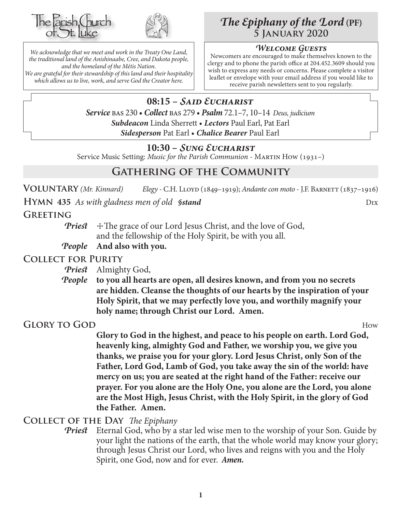



*We acknowledge that we meet and work in the Treaty One Land, the traditional land of the Anishinaabe, Cree, and Dakota people, and the homeland of the Métis Nation. We are grateful for their stewardship of this land and their hospitality which allows us to live, work, and serve God the Creator here.*

# *The Epiphany of the Lord* **(PF) 5 January 2020**

#### *Welcome Guests*

Newcomers are encouraged to make themselves known to the clergy and to phone the parish office at 204.452.3609 should you wish to express any needs or concerns. Please complete a visitor leaflet or envelope with your email address if you would like to receive parish newsletters sent to you regularly.

**08:15 –** *Said Eucharist Service* bas 230 • *Collect* bas 279 • *Psalm* 72.1–7, 10–14 *Deus, judicium Subdeacon* Linda Sherrett • *Lectors* Paul Earl, Pat Earl *Sidesperson* Pat Earl • *Chalice Bearer* Paul Earl

### **10:30 –** *Sung Eucharist*

Service Music Setting: *Music for the Parish Communion* - MARTIN How (1931–)

# **Gathering of the Community**

**Voluntary** *(Mr. Kinnard) Elegy -* C.H. Lloyd (1849–1919); *Andante con moto* - J.F. Barnett (1837–1916)

**HYMN** 435 *As with gladness men of old §stand* Dix Dix

#### **Greeting**

*Priest*  $\pm$  The grace of our Lord Jesus Christ, and the love of God, and the fellowship of the Holy Spirit, be with you all.

*People* **And also with you.**

#### **Collect for Purity**

- *Priest* Almighty God,
- *People* **to you all hearts are open, all desires known, and from you no secrets are hidden. Cleanse the thoughts of our hearts by the inspiration of your Holy Spirit, that we may perfectly love you, and worthily magnify your holy name; through Christ our Lord. Amen.**

**Glory to God** How

**Glory to God in the highest, and peace to his people on earth. Lord God, heavenly king, almighty God and Father, we worship you, we give you thanks, we praise you for your glory. Lord Jesus Christ, only Son of the Father, Lord God, Lamb of God, you take away the sin of the world: have mercy on us; you are seated at the right hand of the Father: receive our prayer. For you alone are the Holy One, you alone are the Lord, you alone are the Most High, Jesus Christ, with the Holy Spirit, in the glory of God the Father. Amen.**

**Collect of the Day** *The Epiphany*

*Priest* Eternal God, who by a star led wise men to the worship of your Son. Guide by your light the nations of the earth, that the whole world may know your glory; through Jesus Christ our Lord, who lives and reigns with you and the Holy Spirit, one God, now and for ever.*Amen.*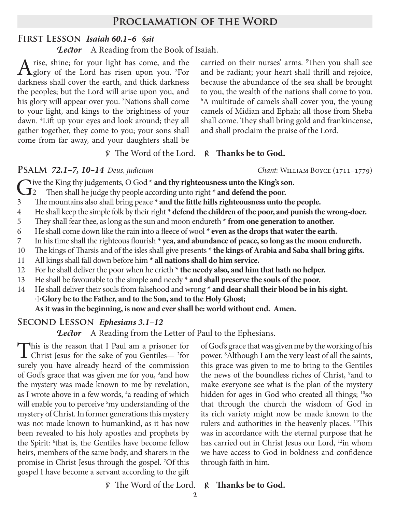### **Proclamation of the Word**

#### **First Lesson** *Isaiah 60.1–6 §sit*

*Lector* A Reading from the Book of Isaiah.

A rise, shine; for your light has come, and the glory of the Lord has risen upon you. <sup>2</sup>For darkness shall cover the earth, and thick darkness the peoples; but the Lord will arise upon you, and his glory will appear over you. 3 Nations shall come to your light, and kings to the brightness of your dawn. 4 Lift up your eyes and look around; they all gather together, they come to you; your sons shall come from far away, and your daughters shall be

carried on their nurses' arms. 5 Then you shall see and be radiant; your heart shall thrill and rejoice, because the abundance of the sea shall be brought to you, the wealth of the nations shall come to you. 6 A multitude of camels shall cover you, the young camels of Midian and Ephah; all those from Sheba shall come. They shall bring gold and frankincense, and shall proclaim the praise of the Lord.

#### ℣ The Word of the Lord. ℟ **Thanks be to God.**

**PSALM 72.1–7, 10–14** *Deus, judicium Chant: WILLIAM BOYCE* (1711–1779)

- Give the King thy judgements, O God \* **and thy righteousness unto the King's son.**<br>Then shall he judge thy people according unto right \* **and defend the poor.**<br>The mountains also shall bring peace \* **and the little hills r** 2 Then shall he judge thy people according unto right **\* and defend the poor.**
- 3 The mountains also shall bring peace **\* and the little hills righteousness unto the people.**
- 4 He shall keep the simple folk by their right **\* defend the children of the poor, and punish the wrong-doer.**
- 5 They shall fear thee, as long as the sun and moon endureth **\* from one generation to another.**
- 6 He shall come down like the rain into a fleece of wool **\* even as the drops that water the earth.**
- 7 In his time shall the righteous flourish **\* yea, and abundance of peace, so long as the moon endureth.**
- 10 The kings of Tharsis and of the isles shall give presents **\* the kings of Arabia and Saba shall bring gifts.**
- 11 All kings shall fall down before him **\* all nations shall do him service.**
- 12 For he shall deliver the poor when he crieth **\* the needy also, and him that hath no helper.**
- 13 He shall be favourable to the simple and needy **\* and shall preserve the souls of the poor.**
- 14 He shall deliver their souls from falsehood and wrong **\* and dear shall their blood be in his sight.** ☩**Glory be to the Father, and to the Son, and to the Holy Ghost;**

**As it was in the beginning, is now and ever shall be: world without end. Amen.**

## **Second Lesson** *Ephesians 3.1–12*

*Lector* A Reading from the Letter of Paul to the Ephesians.

This is the reason that I Paul am a prisoner for Christ Jesus for the sake of you Gentiles—<sup>2</sup>for surely you have already heard of the commission of God's grace that was given me for you, <sup>3</sup> and how the mystery was made known to me by revelation, as I wrote above in a few words, <sup>4</sup>a reading of which will enable you to perceive <sup>5</sup>my understanding of the mystery of Christ. In former generations this mystery was not made known to humankind, as it has now been revealed to his holy apostles and prophets by the Spirit: <sup>6</sup>that is, the Gentiles have become fellow heirs, members of the same body, and sharers in the promise in Christ Jesus through the gospel. 7 Of this gospel I have become a servant according to the gift

of God's grace that was given me by the working of his power. 8 Although I am the very least of all the saints, this grace was given to me to bring to the Gentiles the news of the boundless riches of Christ, <sup>9</sup> and to make everyone see what is the plan of the mystery hidden for ages in God who created all things; <sup>10</sup>so that through the church the wisdom of God in its rich variety might now be made known to the rulers and authorities in the heavenly places. <sup>11</sup>This was in accordance with the eternal purpose that he has carried out in Christ Jesus our Lord, 12in whom we have access to God in boldness and confidence through faith in him.

℣ The Word of the Lord. ℟ **Thanks be to God.**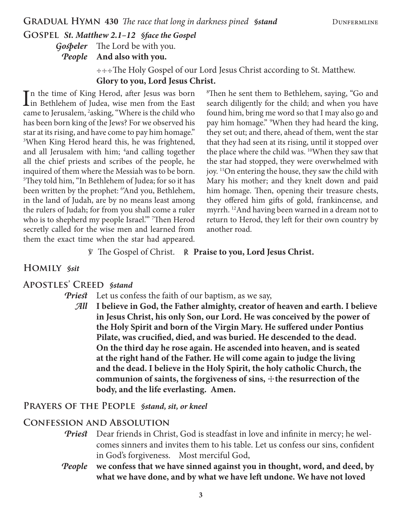### **Gospel** *St. Matthew 2.1–12 §face the Gospel*

*Gospeler* The Lord be with you.

*People* **And also with you.**

 ☩☩☩The Holy Gospel of our Lord Jesus Christ according to St. Matthew. **Glory to you, Lord Jesus Christ.**

In the time of King Herod, after Jesus was born<br>in Bethlehem of Judea, wise men from the East n the time of King Herod, after Jesus was born came to Jerusalem, <sup>2</sup>asking, "Where is the child who has been born king of the Jews? For we observed his star at its rising, and have come to pay him homage." 3 When King Herod heard this, he was frightened, and all Jerusalem with him; <sup>4</sup>and calling together all the chief priests and scribes of the people, he inquired of them where the Messiah was to be born. 5 They told him, "In Bethlehem of Judea; for so it has been written by the prophet: 6 'And you, Bethlehem, in the land of Judah, are by no means least among the rulers of Judah; for from you shall come a ruler who is to shepherd my people Israel.'" 7 Then Herod secretly called for the wise men and learned from them the exact time when the star had appeared.

8 Then he sent them to Bethlehem, saying, "Go and search diligently for the child; and when you have found him, bring me word so that I may also go and pay him homage." <sup>9</sup>When they had heard the king, they set out; and there, ahead of them, went the star that they had seen at its rising, until it stopped over the place where the child was. <sup>10</sup>When they saw that the star had stopped, they were overwhelmed with joy. 11On entering the house, they saw the child with Mary his mother; and they knelt down and paid him homage. Then, opening their treasure chests, they offered him gifts of gold, frankincense, and myrrh. <sup>12</sup>And having been warned in a dream not to return to Herod, they left for their own country by another road.

℣ The Gospel of Christ. ℟ **Praise to you, Lord Jesus Christ.**

#### **Homily** *§sit*

#### **Apostles' Creed** *§stand*

*Priest* Let us confess the faith of our baptism, as we say,

*All* **I believe in God, the Father almighty, creator of heaven and earth. I believe in Jesus Christ, his only Son, our Lord. He was conceived by the power of the Holy Spirit and born of the Virgin Mary. He suffered under Pontius Pilate, was crucified, died, and was buried. He descended to the dead. On the third day he rose again. He ascended into heaven, and is seated at the right hand of the Father. He will come again to judge the living and the dead. I believe in the Holy Spirit, the holy catholic Church, the**  communion of saints, the forgiveness of sins,  $+$ the resurrection of the **body, and the life everlasting. Amen.**

#### **Prayers of the People** *§stand, sit, or kneel*

#### **Confession and Absolution**

- **Priest** Dear friends in Christ, God is steadfast in love and infinite in mercy; he welcomes sinners and invites them to his table. Let us confess our sins, confident in God's forgiveness. Most merciful God,
- *People* **we confess that we have sinned against you in thought, word, and deed, by what we have done, and by what we have left undone. We have not loved**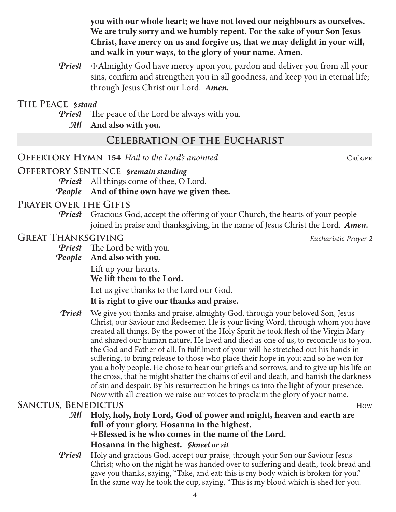**you with our whole heart; we have not loved our neighbours as ourselves. We are truly sorry and we humbly repent. For the sake of your Son Jesus Christ, have mercy on us and forgive us, that we may delight in your will, and walk in your ways, to the glory of your name. Amen.**

*Priest*  $\pm$  Almighty God have mercy upon you, pardon and deliver you from all your sins, confirm and strengthen you in all goodness, and keep you in eternal life; through Jesus Christ our Lord.*Amen.*

### **The Peace** *§stand*

- *Priest* The peace of the Lord be always with you.
	- *All* **And also with you.**

# **Celebration of the Eucharist**

**OFFERTORY HYMN 154** *Hail to the Lord's anointed* **CRÜGER CRÜGER** 

**Offertory Sentence** *§remain standing*

*Priest* All things come of thee, O Lord.

*People* **And of thine own have we given thee.**

### **Prayer over the Gifts**

*Priest* Gracious God, accept the offering of your Church, the hearts of your people joined in praise and thanksgiving, in the name of Jesus Christ the Lord. *Amen.*

## **Great Thanksgiving** *Eucharistic Prayer 2*

- *Priest* The Lord be with you.
- *People* **And also with you.**

Lift up your hearts.

**We lift them to the Lord.**

Let us give thanks to the Lord our God.

## **It is right to give our thanks and praise.**

*Priest* We give you thanks and praise, almighty God, through your beloved Son, Jesus Christ, our Saviour and Redeemer. He is your living Word, through whom you have created all things. By the power of the Holy Spirit he took flesh of the Virgin Mary and shared our human nature. He lived and died as one of us, to reconcile us to you, the God and Father of all. In fulfilment of your will he stretched out his hands in suffering, to bring release to those who place their hope in you; and so he won for you a holy people. He chose to bear our griefs and sorrows, and to give up his life on the cross, that he might shatter the chains of evil and death, and banish the darkness of sin and despair. By his resurrection he brings us into the light of your presence. Now with all creation we raise our voices to proclaim the glory of your name.

## **SANCTUS, BENEDICTUS** How

- *All* **Holy, holy, holy Lord, God of power and might, heaven and earth are full of your glory. Hosanna in the highest.** ☩**Blessed is he who comes in the name of the Lord. Hosanna in the highest.** *§kneel or sit*
- *Priest* Holy and gracious God, accept our praise, through your Son our Saviour Jesus Christ; who on the night he was handed over to suffering and death, took bread and gave you thanks, saying, "Take, and eat: this is my body which is broken for you." In the same way he took the cup, saying, "This is my blood which is shed for you.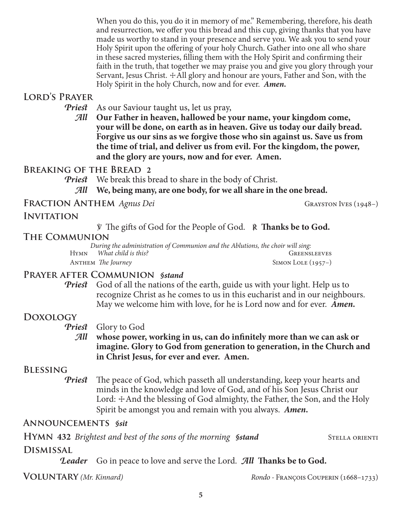When you do this, you do it in memory of me." Remembering, therefore, his death and resurrection, we offer you this bread and this cup, giving thanks that you have made us worthy to stand in your presence and serve you. We ask you to send your Holy Spirit upon the offering of your holy Church. Gather into one all who share in these sacred mysteries, filling them with the Holy Spirit and confirming their faith in the truth, that together we may praise you and give you glory through your Servant, Jesus Christ.  $\pm$ All glory and honour are yours, Father and Son, with the Holy Spirit in the holy Church, now and for ever. *Amen.*

#### **Lord's Prayer**

*Priest* As our Saviour taught us, let us pray,

*All* **Our Father in heaven, hallowed be your name, your kingdom come, your will be done, on earth as in heaven. Give us today our daily bread. Forgive us our sins as we forgive those who sin against us. Save us from the time of trial, and deliver us from evil. For the kingdom, the power, and the glory are yours, now and for ever. Amen.**

### **Breaking of the Bread 2**

*Priest* We break this bread to share in the body of Christ.

*All* **We, being many, are one body, for we all share in the one bread.**

**Fraction Anthem** *Agnus Dei* Grayston Ives (1948–)

### **Invitation**

℣ The gifts of God for the People of God. ℟ **Thanks be to God.**

## **The Communion**

*During the administration of Communion and the Ablutions, the choir will sing:* Hymn *What child is this?* Greensleeves ANTHEM *The Journey* SIMON LOLE (1957–)

## **Prayer after Communion** *§stand*

*Priest* God of all the nations of the earth, guide us with your light. Help us to recognize Christ as he comes to us in this eucharist and in our neighbours. May we welcome him with love, for he is Lord now and for ever. *Amen.*

# **Doxology**

*Priest* Glory to God

*All* **whose power, working in us, can do infinitely more than we can ask or imagine. Glory to God from generation to generation, in the Church and in Christ Jesus, for ever and ever. Amen.**

## **Blessing**

*Priest* The peace of God, which passeth all understanding, keep your hearts and minds in the knowledge and love of God, and of his Son Jesus Christ our Lord:  $\pm$ And the blessing of God almighty, the Father, the Son, and the Holy Spirit be amongst you and remain with you always. *Amen.*

## **Announcements** *§sit*

**HYMN** 432 *Brightest and best of the sons of the morning Sstand* STELLA ORIENTI

#### **Dismissal**

*Leader* Go in peace to love and serve the Lord. *All* **Thanks be to God.**

**Voluntary** *(Mr. Kinnard) Rondo -* François Couperin (1668–1733)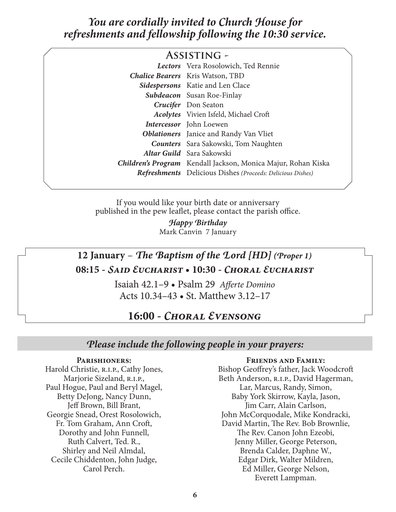# *You are cordially invited to Church House for refreshments and fellowship following the 10:30 service.*

| <b>ASSISTING -</b>                          |                                                                      |  |  |
|---------------------------------------------|----------------------------------------------------------------------|--|--|
|                                             | Lectors Vera Rosolowich, Ted Rennie                                  |  |  |
|                                             | <b>Chalice Bearers</b> Kris Watson, TBD                              |  |  |
|                                             | <b>Sidespersons</b> Katie and Len Clace                              |  |  |
|                                             | <b>Subdeacon</b> Susan Roe-Finlay                                    |  |  |
|                                             | Crucifer Don Seaton                                                  |  |  |
|                                             | <b>Acolytes</b> Vivien Isfeld, Michael Croft                         |  |  |
|                                             | <b>Intercessor</b> John Loewen                                       |  |  |
|                                             | <b>Oblationers</b> Janice and Randy Van Vliet                        |  |  |
| <b>Counters</b> Sara Sakowski, Tom Naughten |                                                                      |  |  |
|                                             | <b>Altar Guild</b> Sara Sakowski                                     |  |  |
|                                             | <b>Children's Program</b> Kendall Jackson, Monica Majur, Rohan Kiska |  |  |
|                                             | <b>Refreshments</b> Delicious Dishes (Proceeds: Delicious Dishes)    |  |  |

If you would like your birth date or anniversary published in the pew leaflet, please contact the parish office.

> *Happy Birthday* Mark Canvin 7 January

# **12 January** – *The Baptism of the Lord [HD] (Proper 1)* **08:15 -** *Said Eucharist* **• 10:30 -** *Choral Eucharist*

Isaiah 42.1–9 • Psalm 29 *Afferte Domino* Acts 10.34–43 • St. Matthew 3.12–17

# **16:00 -** *Choral Evensong*

#### *Please include the following people in your prayers:*

#### **Parishioners:**

Harold Christie, R.I.P., Cathy Jones, Marjorie Sizeland, R.I.P., Paul Hogue, Paul and Beryl Magel, Betty DeJong, Nancy Dunn, Jeff Brown, Bill Brant, Georgie Snead, Orest Rosolowich, Fr. Tom Graham, Ann Croft, Dorothy and John Funnell, Ruth Calvert, Ted. R., Shirley and Neil Almdal, Cecile Chiddenton, John Judge, Carol Perch.

#### **Friends and Family:**

Bishop Geoffrey's father, Jack Woodcroft Beth Anderson, R.I.P., David Hagerman, Lar, Marcus, Randy, Simon, Baby York Skirrow, Kayla, Jason, Jim Carr, Alain Carlson, John McCorquodale, Mike Kondracki, David Martin, The Rev. Bob Brownlie, The Rev. Canon John Ezeobi, Jenny Miller, George Peterson, Brenda Calder, Daphne W., Edgar Dirk, Walter Mildren, Ed Miller, George Nelson, Everett Lampman.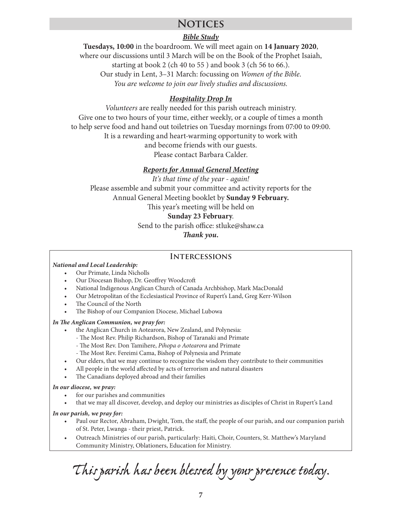# **Notices**

#### *Bible Study*

**Tuesdays, 10:00** in the boardroom. We will meet again on **14 January 2020**, where our discussions until 3 March will be on the Book of the Prophet Isaiah, starting at book 2 (ch 40 to 55 ) and book 3 (ch 56 to 66.). Our study in Lent, 3–31 March: focussing on *Women of the Bible*. *You are welcome to join our lively studies and discussions.*

#### *Hospitality Drop In*

*Volunteers* are really needed for this parish outreach ministry. Give one to two hours of your time, either weekly, or a couple of times a month to help serve food and hand out toiletries on Tuesday mornings from 07:00 to 09:00. It is a rewarding and heart-warming opportunity to work with and become friends with our guests. Please contact Barbara Calder.

#### *Reports for Annual General Meeting*

*It's that time of the year - again!* Please assemble and submit your committee and activity reports for the Annual General Meeting booklet by **Sunday 9 February.** This year's meeting will be held on **Sunday 23 February**. Send to the parish office: stluke@shaw.ca

*Thank you.*

#### **Intercessions**

#### *National and Local Leadership:*

- Our Primate, Linda Nicholls
- Our Diocesan Bishop, Dr. Geoffrey Woodcroft
- National Indigenous Anglican Church of Canada Archbishop, Mark MacDonald
- Our Metropolitan of the Ecclesiastical Province of Rupert's Land, Greg Kerr-Wilson
- The Council of the North
- The Bishop of our Companion Diocese, Michael Lubowa

#### *In The Anglican Communion, we pray for:*

- the Anglican Church in Aotearora, New Zealand, and Polynesia:
	- The Most Rev. Philip Richardson, Bishop of Taranaki and Primate
	- The Most Rev. Don Tamihere, *Pihopa o Aotearora* and Primate
	- The Most Rev. Fereimi Cama, Bishop of Polynesia and Primate
- Our elders, that we may continue to recognize the wisdom they contribute to their communities
- All people in the world affected by acts of terrorism and natural disasters
- The Canadians deployed abroad and their families

#### *In our diocese, we pray:*

- for our parishes and communities
- that we may all discover, develop, and deploy our ministries as disciples of Christ in Rupert's Land

#### *In our parish, we pray for:*

- Paul our Rector, Abraham, Dwight, Tom, the staff, the people of our parish, and our companion parish of St. Peter, Lwanga - their priest, Patrick.
- Outreach Ministries of our parish, particularly: Haiti, Choir, Counters, St. Matthew's Maryland Community Ministry, Oblationers, Education for Ministry.

*This parish has been blessed by your presence today.*